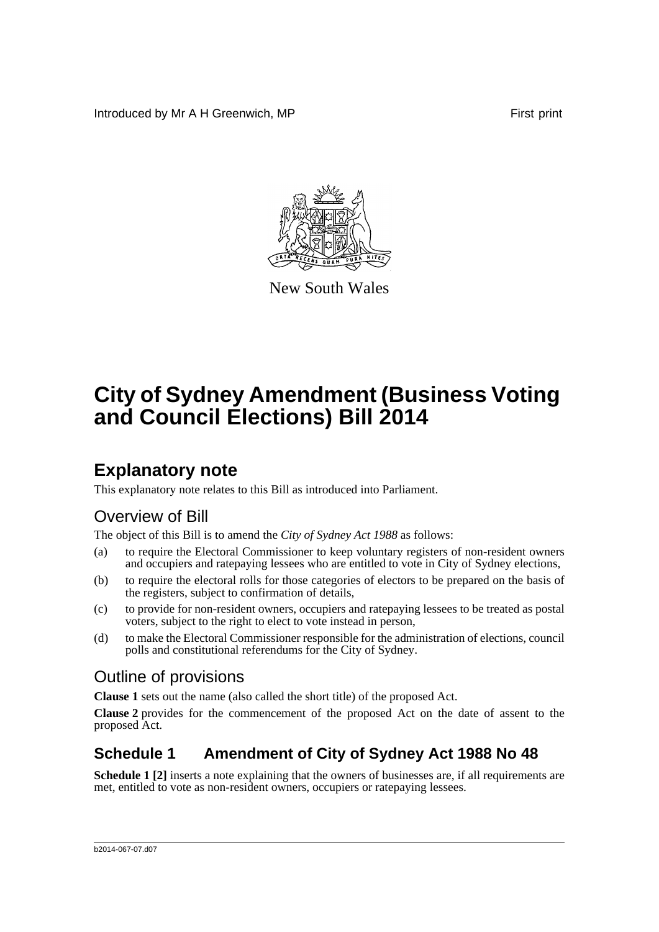Introduced by Mr A H Greenwich, MP First print



New South Wales

# **City of Sydney Amendment (Business Voting and Council Elections) Bill 2014**

### **Explanatory note**

This explanatory note relates to this Bill as introduced into Parliament.

### Overview of Bill

The object of this Bill is to amend the *City of Sydney Act 1988* as follows:

- (a) to require the Electoral Commissioner to keep voluntary registers of non-resident owners and occupiers and ratepaying lessees who are entitled to vote in City of Sydney elections,
- (b) to require the electoral rolls for those categories of electors to be prepared on the basis of the registers, subject to confirmation of details,
- (c) to provide for non-resident owners, occupiers and ratepaying lessees to be treated as postal voters, subject to the right to elect to vote instead in person,
- (d) to make the Electoral Commissioner responsible for the administration of elections, council polls and constitutional referendums for the City of Sydney.

#### Outline of provisions

**Clause 1** sets out the name (also called the short title) of the proposed Act.

**Clause 2** provides for the commencement of the proposed Act on the date of assent to the proposed Act.

### **Schedule 1 Amendment of City of Sydney Act 1988 No 48**

**Schedule 1** [2] inserts a note explaining that the owners of businesses are, if all requirements are met, entitled to vote as non-resident owners, occupiers or ratepaying lessees.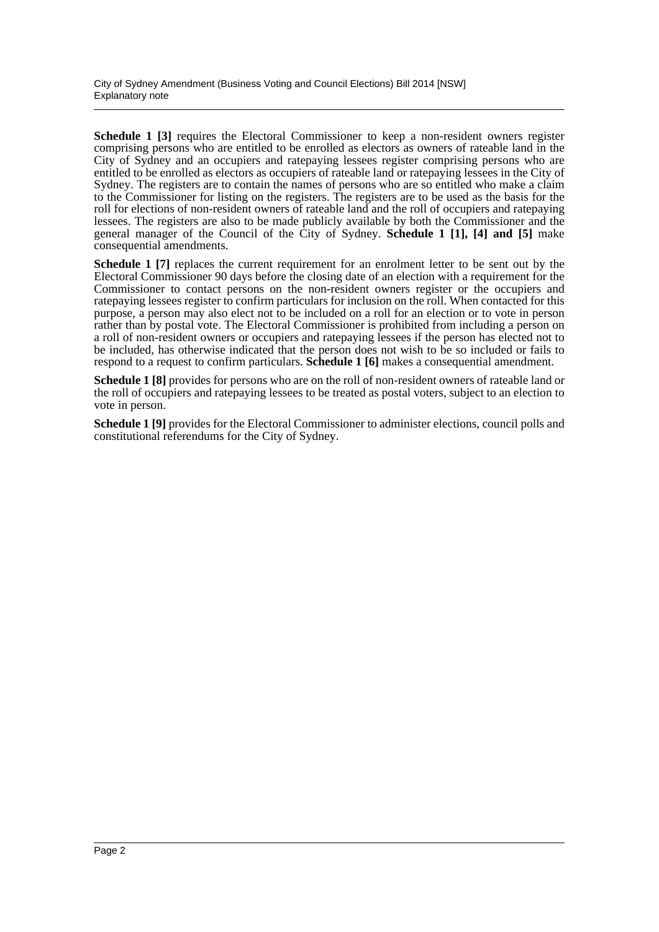**Schedule 1 [3]** requires the Electoral Commissioner to keep a non-resident owners register comprising persons who are entitled to be enrolled as electors as owners of rateable land in the City of Sydney and an occupiers and ratepaying lessees register comprising persons who are entitled to be enrolled as electors as occupiers of rateable land or ratepaying lessees in the City of Sydney. The registers are to contain the names of persons who are so entitled who make a claim to the Commissioner for listing on the registers. The registers are to be used as the basis for the roll for elections of non-resident owners of rateable land and the roll of occupiers and ratepaying lessees. The registers are also to be made publicly available by both the Commissioner and the general manager of the Council of the City of Sydney. **Schedule 1 [1], [4] and [5]** make consequential amendments.

**Schedule 1 [7]** replaces the current requirement for an enrolment letter to be sent out by the Electoral Commissioner 90 days before the closing date of an election with a requirement for the Commissioner to contact persons on the non-resident owners register or the occupiers and ratepaying lessees register to confirm particulars for inclusion on the roll. When contacted for this purpose, a person may also elect not to be included on a roll for an election or to vote in person rather than by postal vote. The Electoral Commissioner is prohibited from including a person on a roll of non-resident owners or occupiers and ratepaying lessees if the person has elected not to be included, has otherwise indicated that the person does not wish to be so included or fails to respond to a request to confirm particulars. **Schedule 1 [6]** makes a consequential amendment.

**Schedule 1 [8]** provides for persons who are on the roll of non-resident owners of rateable land or the roll of occupiers and ratepaying lessees to be treated as postal voters, subject to an election to vote in person.

**Schedule 1 [9]** provides for the Electoral Commissioner to administer elections, council polls and constitutional referendums for the City of Sydney.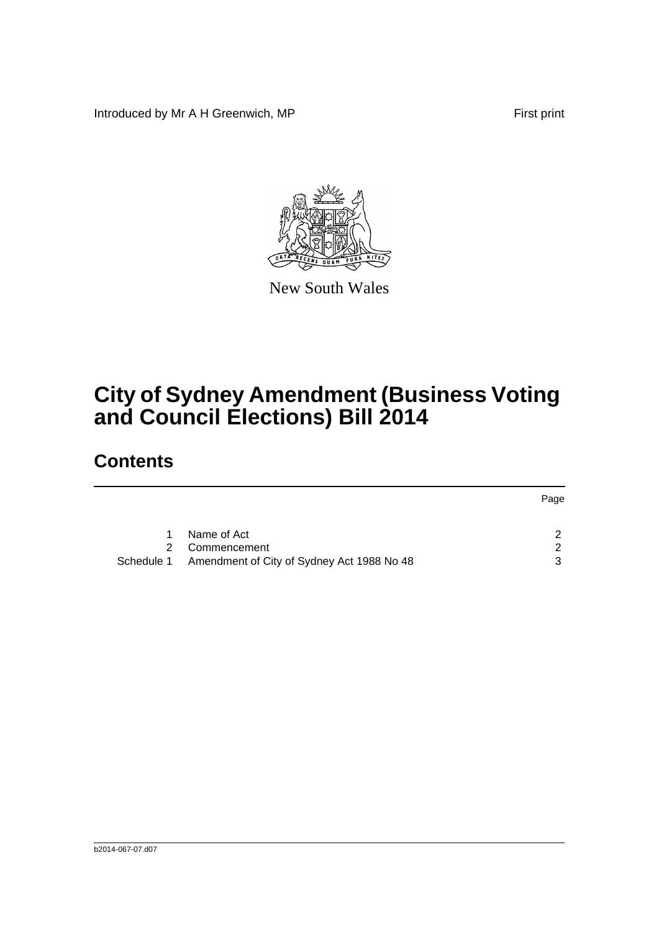Introduced by Mr A H Greenwich, MP First print



New South Wales

# **City of Sydney Amendment (Business Voting and Council Elections) Bill 2014**

### **Contents**

|            |                                            | Page          |
|------------|--------------------------------------------|---------------|
|            | Name of Act                                | $\mathcal{P}$ |
| 2          | Commencement                               | 2             |
| Schedule 1 | Amendment of City of Sydney Act 1988 No 48 | 3             |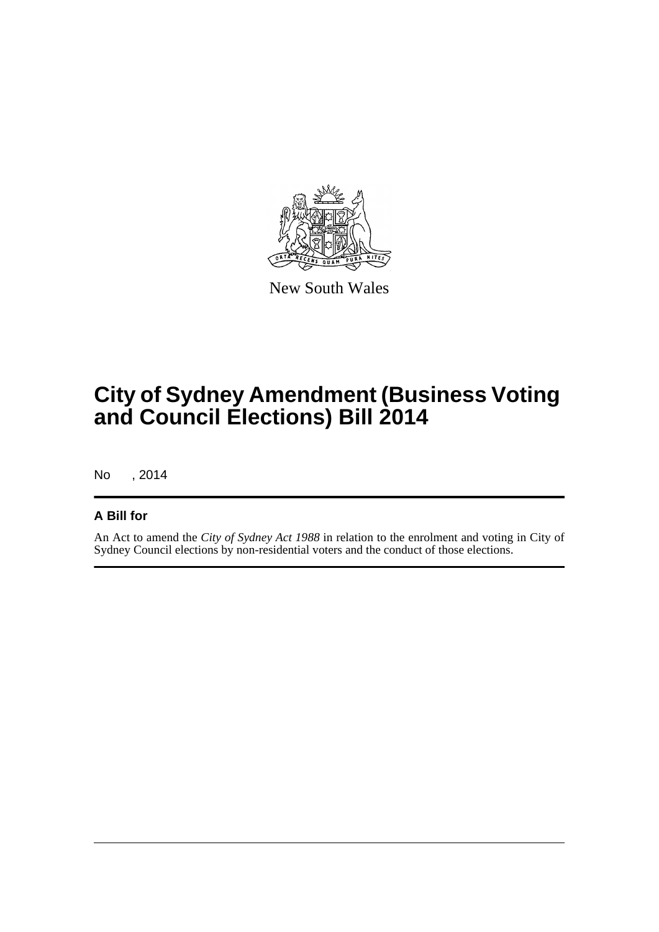

New South Wales

# **City of Sydney Amendment (Business Voting and Council Elections) Bill 2014**

No , 2014

#### **A Bill for**

An Act to amend the *City of Sydney Act 1988* in relation to the enrolment and voting in City of Sydney Council elections by non-residential voters and the conduct of those elections.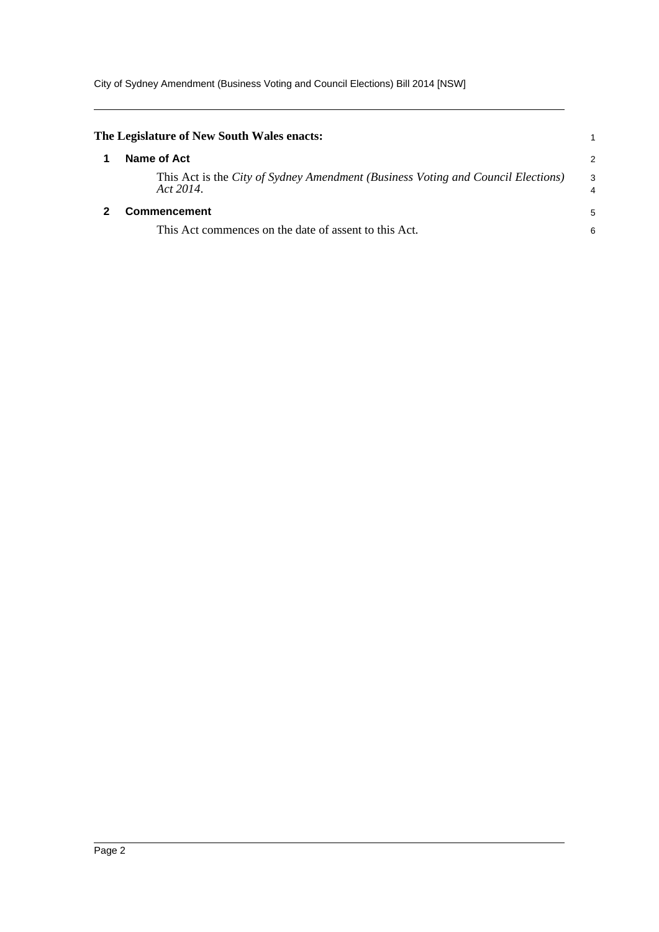City of Sydney Amendment (Business Voting and Council Elections) Bill 2014 [NSW]

<span id="page-4-1"></span><span id="page-4-0"></span>

| The Legislature of New South Wales enacts:                                                    |                     |
|-----------------------------------------------------------------------------------------------|---------------------|
| Name of Act                                                                                   | 2                   |
| This Act is the City of Sydney Amendment (Business Voting and Council Elections)<br>Act 2014. | 3<br>$\overline{4}$ |
| Commencement                                                                                  | 5                   |
| This Act commences on the date of assent to this Act.                                         | 6                   |
|                                                                                               |                     |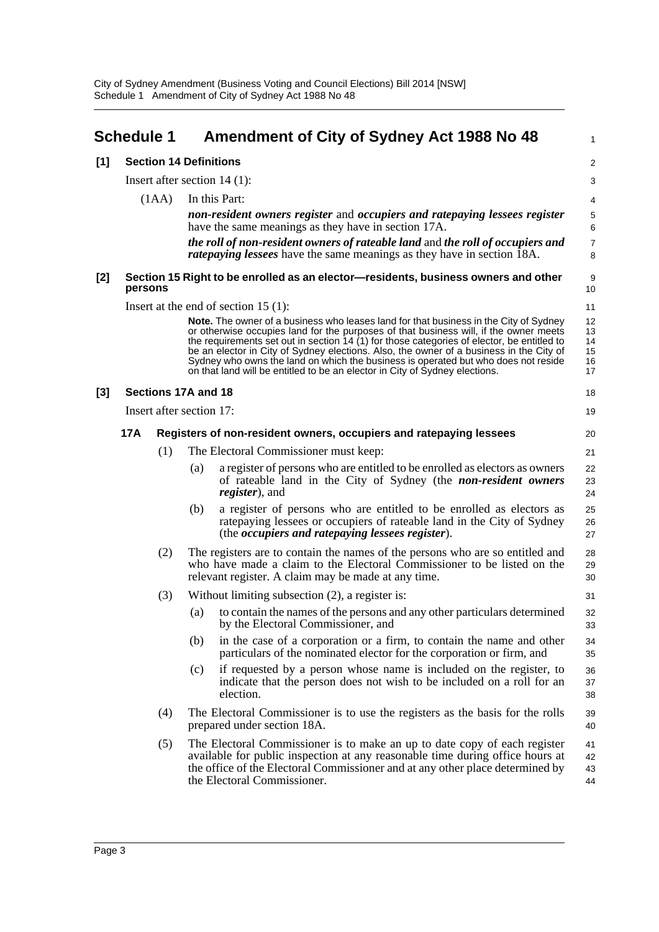<span id="page-5-0"></span>

|       | <b>Schedule 1</b>             |                                |     | Amendment of City of Sydney Act 1988 No 48                                                                                                                                                                                                                                                                                                                                                                                                                                                                                                   | 1                                |
|-------|-------------------------------|--------------------------------|-----|----------------------------------------------------------------------------------------------------------------------------------------------------------------------------------------------------------------------------------------------------------------------------------------------------------------------------------------------------------------------------------------------------------------------------------------------------------------------------------------------------------------------------------------------|----------------------------------|
| [1]   | <b>Section 14 Definitions</b> |                                |     |                                                                                                                                                                                                                                                                                                                                                                                                                                                                                                                                              | 2                                |
|       |                               | Insert after section $14(1)$ : |     |                                                                                                                                                                                                                                                                                                                                                                                                                                                                                                                                              |                                  |
|       |                               | (1AA)                          |     | In this Part:                                                                                                                                                                                                                                                                                                                                                                                                                                                                                                                                | 4                                |
|       |                               |                                |     | non-resident owners register and occupiers and ratepaying lessees register<br>have the same meanings as they have in section 17A.                                                                                                                                                                                                                                                                                                                                                                                                            | 5<br>6                           |
|       |                               |                                |     | the roll of non-resident owners of rateable land and the roll of occupiers and<br><i>ratepaying lessees</i> have the same meanings as they have in section 18A.                                                                                                                                                                                                                                                                                                                                                                              | $\overline{7}$<br>8              |
| [2]   | persons                       |                                |     | Section 15 Right to be enrolled as an elector—residents, business owners and other                                                                                                                                                                                                                                                                                                                                                                                                                                                           | 9<br>10                          |
|       |                               |                                |     | Insert at the end of section $15(1)$ :                                                                                                                                                                                                                                                                                                                                                                                                                                                                                                       | 11                               |
|       |                               |                                |     | Note. The owner of a business who leases land for that business in the City of Sydney<br>or otherwise occupies land for the purposes of that business will, if the owner meets<br>the requirements set out in section 14 (1) for those categories of elector, be entitled to<br>be an elector in City of Sydney elections. Also, the owner of a business in the City of<br>Sydney who owns the land on which the business is operated but who does not reside<br>on that land will be entitled to be an elector in City of Sydney elections. | 12<br>13<br>14<br>15<br>16<br>17 |
| $[3]$ |                               | Sections 17A and 18            |     |                                                                                                                                                                                                                                                                                                                                                                                                                                                                                                                                              | 18                               |
|       |                               | Insert after section 17:       |     |                                                                                                                                                                                                                                                                                                                                                                                                                                                                                                                                              | 19                               |
|       | <b>17A</b>                    |                                |     | Registers of non-resident owners, occupiers and ratepaying lessees                                                                                                                                                                                                                                                                                                                                                                                                                                                                           | 20                               |
|       |                               | (1)                            |     | The Electoral Commissioner must keep:                                                                                                                                                                                                                                                                                                                                                                                                                                                                                                        | 21                               |
|       |                               |                                | (a) | a register of persons who are entitled to be enrolled as electors as owners<br>of rateable land in the City of Sydney (the <i>non-resident owners</i><br><i>register</i> ), and                                                                                                                                                                                                                                                                                                                                                              | 22<br>23<br>24                   |
|       |                               |                                | (b) | a register of persons who are entitled to be enrolled as electors as<br>rate paying lessees or occupiers of rateable land in the City of Sydney<br>(the <i>occupiers and ratepaying lessees register</i> ).                                                                                                                                                                                                                                                                                                                                  | 25<br>26<br>27                   |
|       |                               | (2)                            |     | The registers are to contain the names of the persons who are so entitled and<br>who have made a claim to the Electoral Commissioner to be listed on the<br>relevant register. A claim may be made at any time.                                                                                                                                                                                                                                                                                                                              | 28<br>29<br>30                   |
|       |                               | (3)                            |     | Without limiting subsection $(2)$ , a register is:                                                                                                                                                                                                                                                                                                                                                                                                                                                                                           | 31                               |
|       |                               |                                | (a) | to contain the names of the persons and any other particulars determined<br>by the Electoral Commissioner, and                                                                                                                                                                                                                                                                                                                                                                                                                               | 32<br>33                         |
|       |                               |                                | (b) | in the case of a corporation or a firm, to contain the name and other<br>particulars of the nominated elector for the corporation or firm, and                                                                                                                                                                                                                                                                                                                                                                                               | 34<br>35                         |
|       |                               |                                | (c) | if requested by a person whose name is included on the register, to<br>indicate that the person does not wish to be included on a roll for an<br>election.                                                                                                                                                                                                                                                                                                                                                                                   | 36<br>37<br>38                   |
|       |                               | (4)                            |     | The Electoral Commissioner is to use the registers as the basis for the rolls<br>prepared under section 18A.                                                                                                                                                                                                                                                                                                                                                                                                                                 | 39<br>40                         |
|       |                               | (5)                            |     | The Electoral Commissioner is to make an up to date copy of each register<br>available for public inspection at any reasonable time during office hours at<br>the office of the Electoral Commissioner and at any other place determined by<br>the Electoral Commissioner.                                                                                                                                                                                                                                                                   | 41<br>42<br>43<br>44             |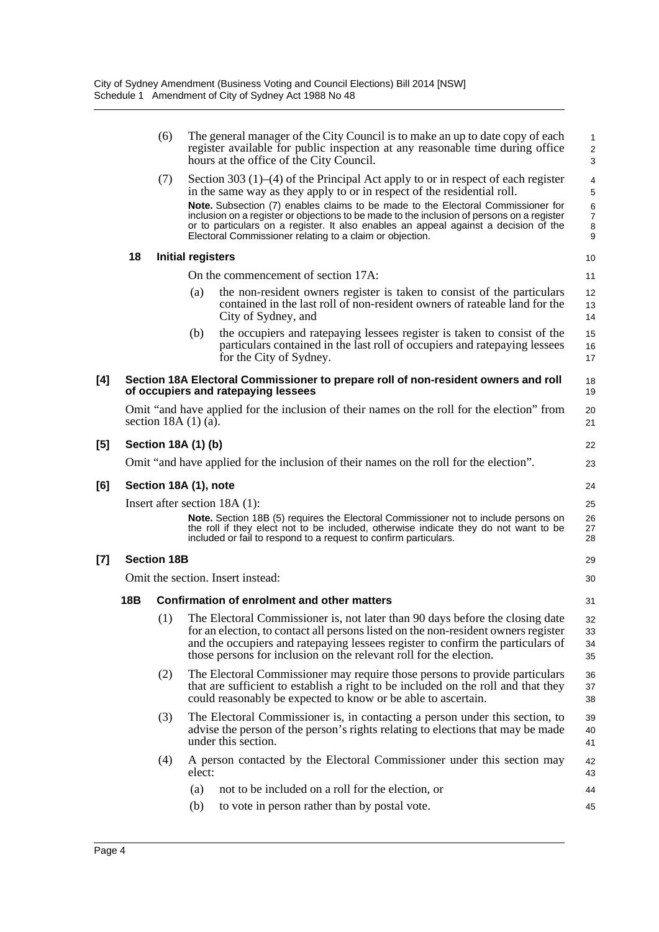|     |                                         | (6)                   |                          | The general manager of the City Council is to make an up to date copy of each<br>register available for public inspection at any reasonable time during office<br>hours at the office of the City Council.                                                                                                                                                                                                                                                                                              | 1<br>$\overline{c}$<br>3                |
|-----|-----------------------------------------|-----------------------|--------------------------|---------------------------------------------------------------------------------------------------------------------------------------------------------------------------------------------------------------------------------------------------------------------------------------------------------------------------------------------------------------------------------------------------------------------------------------------------------------------------------------------------------|-----------------------------------------|
|     |                                         | (7)                   |                          | Section 303 $(1)$ – $(4)$ of the Principal Act apply to or in respect of each register<br>in the same way as they apply to or in respect of the residential roll.<br>Note. Subsection (7) enables claims to be made to the Electoral Commissioner for<br>inclusion on a register or objections to be made to the inclusion of persons on a register<br>or to particulars on a register. It also enables an appeal against a decision of the<br>Electoral Commissioner relating to a claim or objection. | 4<br>5<br>6<br>$\overline{7}$<br>8<br>9 |
|     | 18                                      |                       | <b>Initial registers</b> |                                                                                                                                                                                                                                                                                                                                                                                                                                                                                                         | 10                                      |
|     |                                         |                       |                          | On the commencement of section 17A:                                                                                                                                                                                                                                                                                                                                                                                                                                                                     | 11                                      |
|     |                                         |                       | (a)                      | the non-resident owners register is taken to consist of the particulars<br>contained in the last roll of non-resident owners of rateable land for the<br>City of Sydney, and                                                                                                                                                                                                                                                                                                                            | 12<br>13<br>14                          |
|     |                                         |                       | (b)                      | the occupiers and ratepaying lessees register is taken to consist of the<br>particulars contained in the last roll of occupiers and ratepaying lessees<br>for the City of Sydney.                                                                                                                                                                                                                                                                                                                       | 15<br>16<br>17                          |
| [4] |                                         |                       |                          | Section 18A Electoral Commissioner to prepare roll of non-resident owners and roll<br>of occupiers and ratepaying lessees                                                                                                                                                                                                                                                                                                                                                                               | 18<br>19                                |
|     |                                         | section $18A(1)(a)$ . |                          | Omit "and have applied for the inclusion of their names on the roll for the election" from                                                                                                                                                                                                                                                                                                                                                                                                              | 20<br>21                                |
| [5] |                                         | Section 18A (1) (b)   |                          |                                                                                                                                                                                                                                                                                                                                                                                                                                                                                                         | 22                                      |
|     |                                         |                       |                          | Omit "and have applied for the inclusion of their names on the roll for the election".                                                                                                                                                                                                                                                                                                                                                                                                                  | 23                                      |
| [6] |                                         | Section 18A (1), note |                          |                                                                                                                                                                                                                                                                                                                                                                                                                                                                                                         | 24                                      |
|     |                                         |                       |                          | Insert after section $18A(1)$ :                                                                                                                                                                                                                                                                                                                                                                                                                                                                         | 25                                      |
|     |                                         |                       |                          | <b>Note.</b> Section 18B (5) requires the Electoral Commissioner not to include persons on<br>the roll if they elect not to be included, otherwise indicate they do not want to be<br>included or fail to respond to a request to confirm particulars.                                                                                                                                                                                                                                                  | 26<br>27<br>28                          |
| [7] | <b>Section 18B</b><br>29                |                       |                          |                                                                                                                                                                                                                                                                                                                                                                                                                                                                                                         |                                         |
|     | Omit the section. Insert instead:<br>30 |                       |                          |                                                                                                                                                                                                                                                                                                                                                                                                                                                                                                         |                                         |
|     | 18B                                     |                       |                          | Confirmation of enrolment and other matters                                                                                                                                                                                                                                                                                                                                                                                                                                                             | 31                                      |
|     |                                         | (1)                   |                          | The Electoral Commissioner is, not later than 90 days before the closing date<br>for an election, to contact all persons listed on the non-resident owners register<br>and the occupiers and ratepaying lessees register to confirm the particulars of<br>those persons for inclusion on the relevant roll for the election.                                                                                                                                                                            | 32<br>33<br>34<br>35                    |
|     |                                         | (2)                   |                          | The Electoral Commissioner may require those persons to provide particulars<br>that are sufficient to establish a right to be included on the roll and that they<br>could reasonably be expected to know or be able to ascertain.                                                                                                                                                                                                                                                                       | 36<br>37<br>38                          |
|     |                                         | (3)                   |                          | The Electoral Commissioner is, in contacting a person under this section, to<br>advise the person of the person's rights relating to elections that may be made<br>under this section.                                                                                                                                                                                                                                                                                                                  | 39<br>40<br>41                          |
|     |                                         | (4)                   | elect:                   | A person contacted by the Electoral Commissioner under this section may                                                                                                                                                                                                                                                                                                                                                                                                                                 | 42<br>43                                |
|     |                                         |                       | (a)                      | not to be included on a roll for the election, or                                                                                                                                                                                                                                                                                                                                                                                                                                                       | 44                                      |
|     |                                         |                       | (b)                      | to vote in person rather than by postal vote.                                                                                                                                                                                                                                                                                                                                                                                                                                                           | 45                                      |

 $[5]$ 

**[6]** 

**[7] Section 18B**